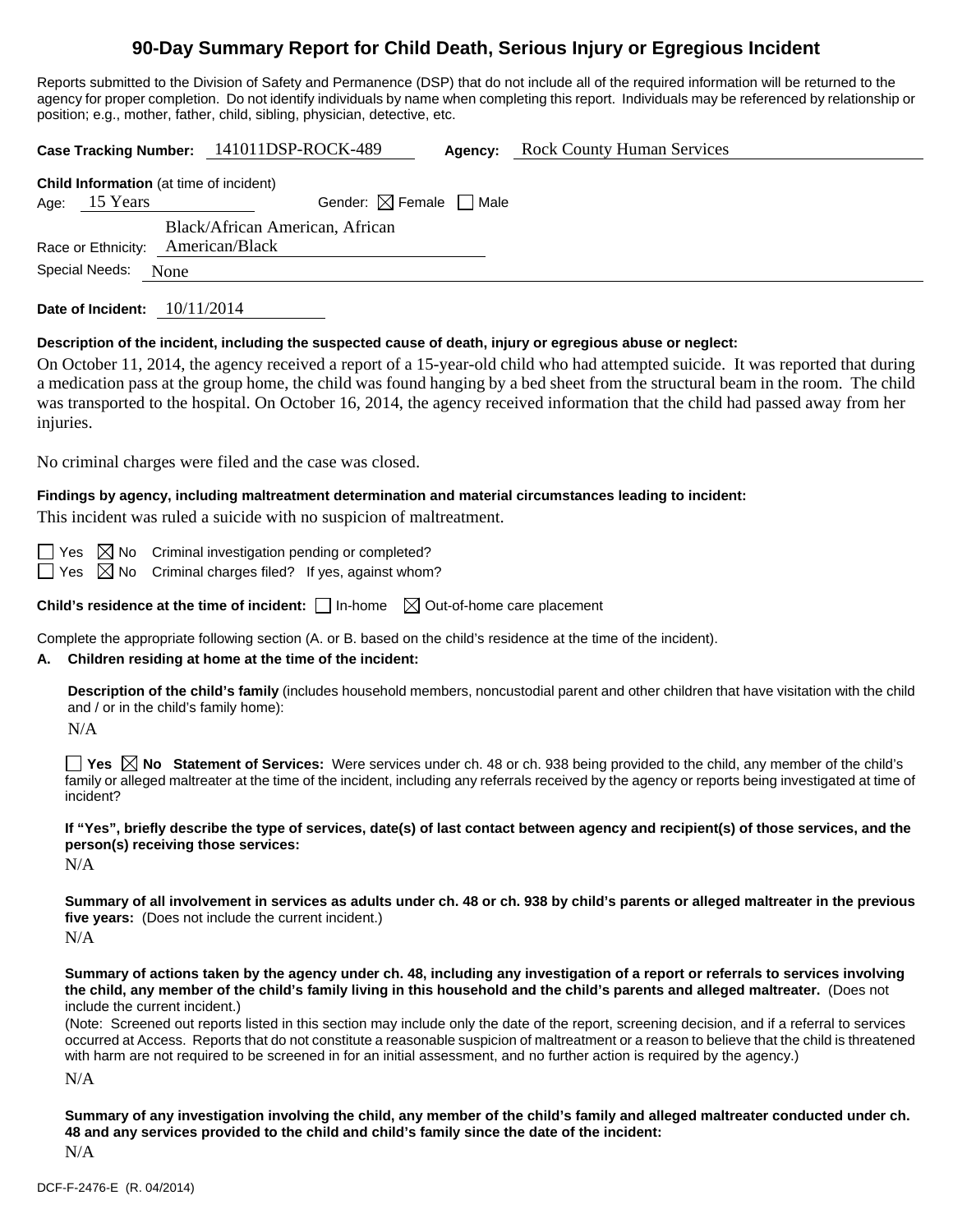# **90-Day Summary Report for Child Death, Serious Injury or Egregious Incident**

Reports submitted to the Division of Safety and Permanence (DSP) that do not include all of the required information will be returned to the agency for proper completion. Do not identify individuals by name when completing this report. Individuals may be referenced by relationship or position; e.g., mother, father, child, sibling, physician, detective, etc.

| Case Tracking Number: 141011DSP-ROCK-489<br><b>Rock County Human Services</b><br>Agency:                                                                                                                                                                                                                                                                                                                                                                                                                                       |  |  |  |  |
|--------------------------------------------------------------------------------------------------------------------------------------------------------------------------------------------------------------------------------------------------------------------------------------------------------------------------------------------------------------------------------------------------------------------------------------------------------------------------------------------------------------------------------|--|--|--|--|
| Child Information (at time of incident)<br>15 Years<br>Gender: $\boxtimes$ Female $\Box$ Male<br>Age:<br>Black/African American, African<br>American/Black<br>Race or Ethnicity:<br>Special Needs:<br>None                                                                                                                                                                                                                                                                                                                     |  |  |  |  |
| Date of Incident: $10/11/2014$                                                                                                                                                                                                                                                                                                                                                                                                                                                                                                 |  |  |  |  |
| Description of the incident, including the suspected cause of death, injury or egregious abuse or neglect:<br>On October 11, 2014, the agency received a report of a 15-year-old child who had attempted suicide. It was reported that during<br>a medication pass at the group home, the child was found hanging by a bed sheet from the structural beam in the room. The child<br>was transported to the hospital. On October 16, 2014, the agency received information that the child had passed away from her<br>injuries. |  |  |  |  |
| No criminal charges were filed and the case was closed.                                                                                                                                                                                                                                                                                                                                                                                                                                                                        |  |  |  |  |
| Findings by agency, including maltreatment determination and material circumstances leading to incident:<br>This incident was ruled a suicide with no suspicion of maltreatment.                                                                                                                                                                                                                                                                                                                                               |  |  |  |  |
| $\boxtimes$ No<br>Criminal investigation pending or completed?<br><b>Yes</b><br>$\boxtimes$ No<br>Criminal charges filed? If yes, against whom?<br>$\Box$ Yes                                                                                                                                                                                                                                                                                                                                                                  |  |  |  |  |
| Child's residence at the time of incident: $\Box$ In-home $\Box$ Out-of-home care placement                                                                                                                                                                                                                                                                                                                                                                                                                                    |  |  |  |  |
| Complete the appropriate following section (A. or B. based on the child's residence at the time of the incident).<br>Children residing at home at the time of the incident:<br>А.                                                                                                                                                                                                                                                                                                                                              |  |  |  |  |
| Description of the child's family (includes household members, noncustodial parent and other children that have visitation with the child<br>and / or in the child's family home):<br>N/A                                                                                                                                                                                                                                                                                                                                      |  |  |  |  |
| family or alleged maltreater at the time of the incident, including any referrals received by the agency or reports being investigated at time of<br>incident?                                                                                                                                                                                                                                                                                                                                                                 |  |  |  |  |
| If "Yes", briefly describe the type of services, date(s) of last contact between agency and recipient(s) of those services, and the<br>person(s) receiving those services:<br>N/A                                                                                                                                                                                                                                                                                                                                              |  |  |  |  |
| Summary of all involvement in services as adults under ch. 48 or ch. 938 by child's parents or alleged maltreater in the previous<br>five years: (Does not include the current incident.)<br>N/A                                                                                                                                                                                                                                                                                                                               |  |  |  |  |
| Summary of actions taken by the agency under ch. 48, including any investigation of a report or referrals to services involving<br>the child, any member of the child's family living in this household and the child's parents and alleged maltreater. (Does not<br>include the current incident.)                                                                                                                                                                                                                            |  |  |  |  |
| (Note: Screened out reports listed in this section may include only the date of the report, screening decision, and if a referral to services<br>occurred at Access. Reports that do not constitute a reasonable suspicion of maltreatment or a reason to believe that the child is threatened<br>with harm are not required to be screened in for an initial assessment, and no further action is required by the agency.)                                                                                                    |  |  |  |  |
| N/A                                                                                                                                                                                                                                                                                                                                                                                                                                                                                                                            |  |  |  |  |

**Summary of any investigation involving the child, any member of the child's family and alleged maltreater conducted under ch. 48 and any services provided to the child and child's family since the date of the incident:** 

N/A